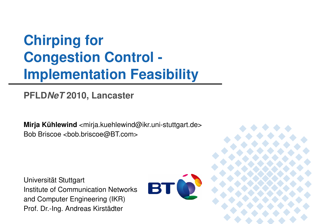# **Chirping for Congestion Control -Implementation Feasibility**

### **PFLDNeT 2010, Lancaster**

**Mirja Kühlewind** <mirja.kuehlewind@ikr.uni-stuttgart.de> Bob Briscoe <bob.briscoe@BT.com>

Universität StuttgartInstitute of Communication Networksand Computer Engineering (IKR)Prof. Dr.-Ing. Andreas Kirstädter



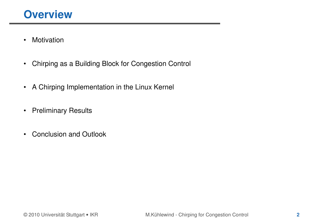- •Motivation
- •Chirping as a Building Block for Congestion Control
- $\bullet$ A Chirping Implementation in the Linux Kernel
- •Preliminary Results
- $\bullet$ Conclusion and Outlook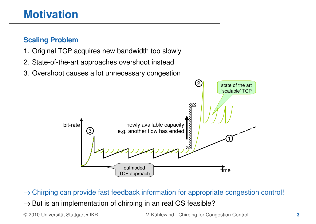## **Motivation**

#### **Scaling Problem**

- 1. Original TCP acquires new bandwidth too slowly
- 2. State-of-the-art approaches overshoot instead
- 3. Overshoot causes a lot unnecessary congestion



© 2010 Universität Stuttgart • IKR M.Kühlewind - Chirping for Congestion Control **<sup>3</sup>** → Chirping can provide fast feedback information for appropriate congestion control!  $\rightarrow$  But is an implementation of chirping in an real OS feasible?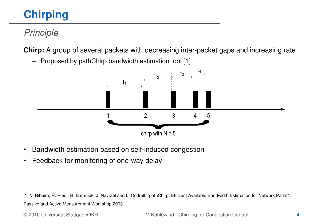### Principle

**Chirp:** A group of several packets with decreasing inter-packet gaps and increasing rate





- •Bandwidth estimation based on self-induced congestion
- •Feedback for monitoring of one-way delay

[1] V. Ribeiro, R. Riedi, R. Baraniuk, J. Navratil and L. Cottrell. "pathChirp: Efficient Available Bandwidth Estimation for Network Paths". Passive and Active Measurement Workshop 2003

© 2010 Universität Stuttgart • IKR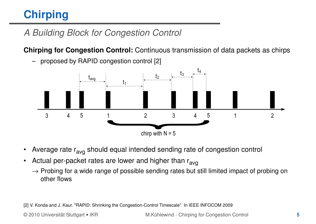### A Building Block for Congestion Control

**Chirping for Congestion Control:** Continuous transmission of data packets as chirps



–proposed by RAPID congestion control [2]

- •Average rate r<sub>avg</sub> should equal intended sending rate of congestion control
- $\bullet$ Actual per-packet rates are lower and higher than  $r_{\text{av}q}$ 
	- $\rightarrow$  Probing for a wide range of possible sending rates but still limited impact of probing on other flows other flows

[2] V. Konda and J. Kaur. "RAPID: Shrinking the Congestion-Control Timescale". In IEEE INFOCOM 2009

© 2010 Universität Stuttgart • IKR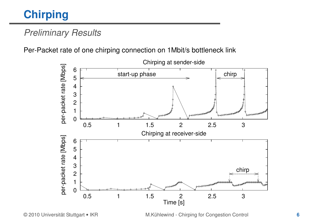### Preliminary Results

Per-Packet rate of one chirping connection on 1Mbit/s bottleneck link



M.Kühlewind - Chirping for Congestion Control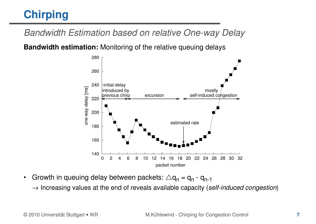Bandwidth Estimation based on relative One-way Delay

**Bandwidth estimation:** Monitoring of the relative queuing delays



- •Growth in queuing delay between packets:  $\Delta q_n = q_n - q_{n-1}$ 
	- $\rightarrow$  Increasing values at the end of reveals available capacity (self-induced congestion)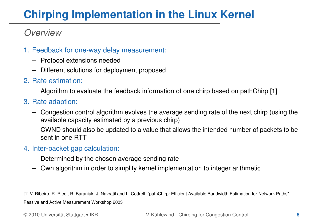### **Overview**

- 1. Feedback for one-way delay measurement:
	- Protocol extensions needed
	- Different solutions for deployment proposed
- 2. Rate estimation:

Algorithm to evaluate the feedback information of one chirp based on pathChirp [1]

- 3. Rate adaption:
	- – Congestion control algorithm evolves the average sending rate of the next chirp (using the available capacity estimated by a previous chirp)
	- – CWND should also be updated to a value that allows the intended number of packets to be sent in one RTT
- 4. Inter-packet gap calculation:
	- –Determined by the chosen average sending rate
	- –Own algorithm in order to simplify kernel implementation to integer arithmetic

[1] V. Ribeiro, R. Riedi, R. Baraniuk, J. Navratil and L. Cottrell. "pathChirp: Efficient Available Bandwidth Estimation for Network Paths". Passive and Active Measurement Workshop 2003

© 2010 Universität Stuttgart • IKR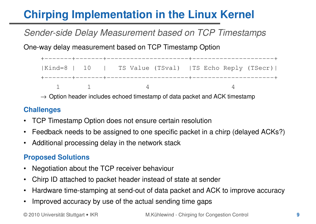### Sender-side Delay Measurement based on TCP Timestamps

One-way delay measurement based on TCP Timestamp Option

+-------+-------+---------------------+---------------------+|Kind=8 | 10 | TS Value (TSval) |TS Echo Reply (TSecr)|+-------+-------+---------------------+---------------------+ $1$  1 4 4 4

 $\rightarrow$  Option header includes echoed timestamp of data packet and ACK timestamp

#### **Challenges**

- $\bullet$ TCP Timestamp Option does not ensure certain resolution
- •Feedback needs to be assigned to one specific packet in a chirp (delayed ACKs?)
- $\bullet$ Additional processing delay in the network stack

#### **Proposed Solutions**

- •Negotiation about the TCP receiver behaviour
- •Chirp ID attached to packet header instead of state at sender
- •Hardware time-stamping at send-out of data packet and ACK to improve accuracy
- •Improved accuracy by use of the actual sending time gaps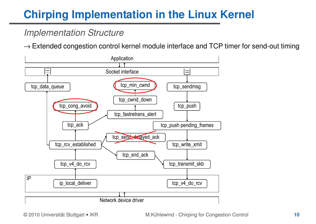### Implementation Structure

 $\rightarrow$  Extended congestion control kernel module interface and TCP timer for send-out timing

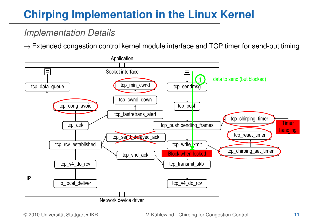### Implementation Details

 $\rightarrow$  Extended congestion control kernel module interface and TCP timer for send-out timing



© 2010 Universität Stuttgart • IKR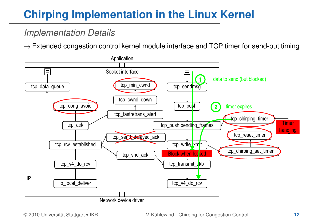### Implementation Details

 $\rightarrow$  Extended congestion control kernel module interface and TCP timer for send-out timing

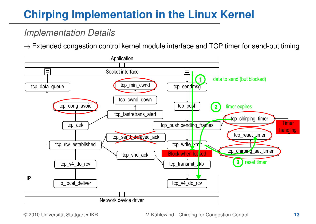### Implementation Details

 $\rightarrow$  Extended congestion control kernel module interface and TCP timer for send-out timing

![](_page_12_Figure_3.jpeg)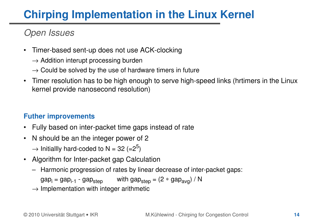### Open Issues

- • Timer-based sent-up does not use ACK-clocking
	- $\rightarrow$  Addition interupt processing burden
	- $\rightarrow$  Could be solved by the use of hardware timers in future<br> $\pm$
- $\bullet$  Timer resolution has to be high enough to serve high-speed links (hrtimers in the Linux kernel provide nanosecond resolution)

#### **Futher improvements**

- $\bullet$ Fully based on inter-packet time gaps instead of rate
- • N should be an the integer power of 2 $\rightarrow$  Initiallly hard-coded to N = 32 (=2<sup>5</sup>)
- $\bullet$  Algorithm for Inter-packet gap Calculation
	- –Harmonic progression of rates by linear decrease of inter-packet gaps:

 $gap<sub>i</sub> = gap<sub>i-1</sub> - gap<sub>step</sub>$  with  $gap<sub>step</sub> = (2 * gap<sub>ava</sub>) / N$ 

 $\rightarrow$  Implementation with integer arithmetic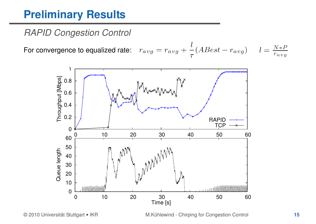### RAPID Congestion Control

For convergence to equalized rate:

![](_page_14_Figure_3.jpeg)

M.Kühlewind - Chirping for Congestion Control **<sup>15</sup>**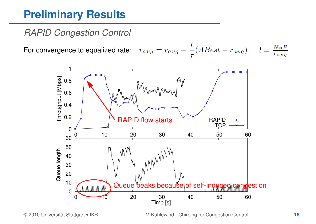### RAPID Congestion Control

For convergence to equalized rate:

![](_page_15_Figure_3.jpeg)

M.Kühlewind - Chirping for Congestion Control **<sup>16</sup>**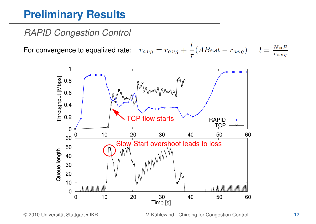### RAPID Congestion Control

For convergence to equalized rate:

![](_page_16_Figure_3.jpeg)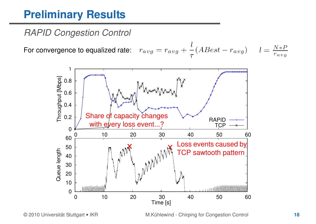### RAPID Congestion Control

For convergence to equalized rate:

![](_page_17_Figure_3.jpeg)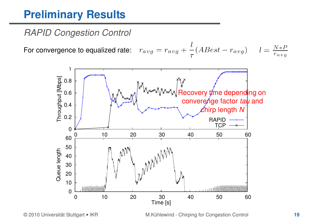### RAPID Congestion Control

For convergence to equalized rate:

![](_page_18_Figure_3.jpeg)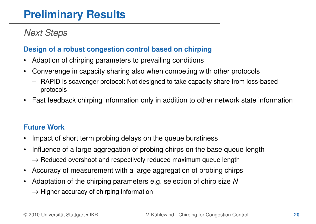### Next Steps

#### **Design of a robust congestion control based on chirping**

- •Adaption of chirping parameters to prevailing conditions
- $\bullet$  Converenge in capacity sharing also when competing with other protocols
	- – RAPID is scavenger protocol: Not designed to take capacity share from loss-based protocols
- •Fast feedback chirping information only in addition to other network state information

#### **Future Work**

- •Impact of short term probing delays on the queue burstiness
- • Influence of a large aggregation of probing chirps on the base queue length→ Reduced overshoot and respectively reduced maximum queue length
- •Accuracy of measurement with a large aggregation of probing chirps
- • Adaptation of the chirping parameters e.g. selection of chirp size N $\rightarrow$  Higher accuracy of chirping information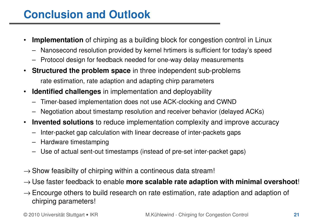## **Conclusion and Outlook**

- • **Implementation** of chirping as a building block for congestion control in Linux
	- –Nanosecond resolution provided by kernel hrtimers is sufficient for today's speed
	- Protocol design for feedback needed for one-way delay measurements
- $\bullet$  **Structured the problem space** in three independent sub-problems rate estimation, rate adaption and adapting chirp parameters
- • **Identified challenges** in implementation and deployability
	- –Timer-based implementation does not use ACK-clocking and CWND
	- Negotiation about timestamp resolution and receiver behavior (delayed ACKs)–
- • **Invented solutions** to reduce implementation complexity and improve accuracy
	- –Inter-packet gap calculation with linear decrease of inter-packets gaps
	- –Hardware timestamping
	- –Use of actual sent-out timestamps (instead of pre-set inter-packet gaps)
- $\rightarrow$  Show feasibilty of chirping within a contineous data stream!
- → Use faster feedback to enable **more scalable rate adaption with minimal overshoot**!
- $\rightarrow$  Encourge others to build research on rate estimation, rate adaption and adaption of chirning parameters! chirping parameters!

© 2010 Universität Stuttgart • IKR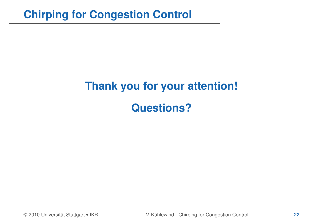# **Thank you for your attention!Questions?**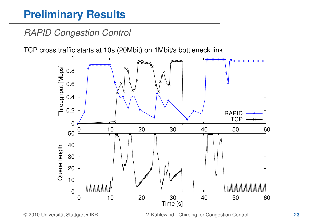### RAPID Congestion Control

TCP cross traffic starts at 10s (20Mbit) on 1Mbit/s bottleneck link

![](_page_22_Figure_3.jpeg)

M.Kühlewind - Chirping for Congestion Control **<sup>23</sup>**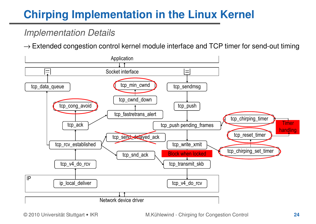### Implementation Details

 $\rightarrow$  Extended congestion control kernel module interface and TCP timer for send-out timing

![](_page_23_Figure_3.jpeg)